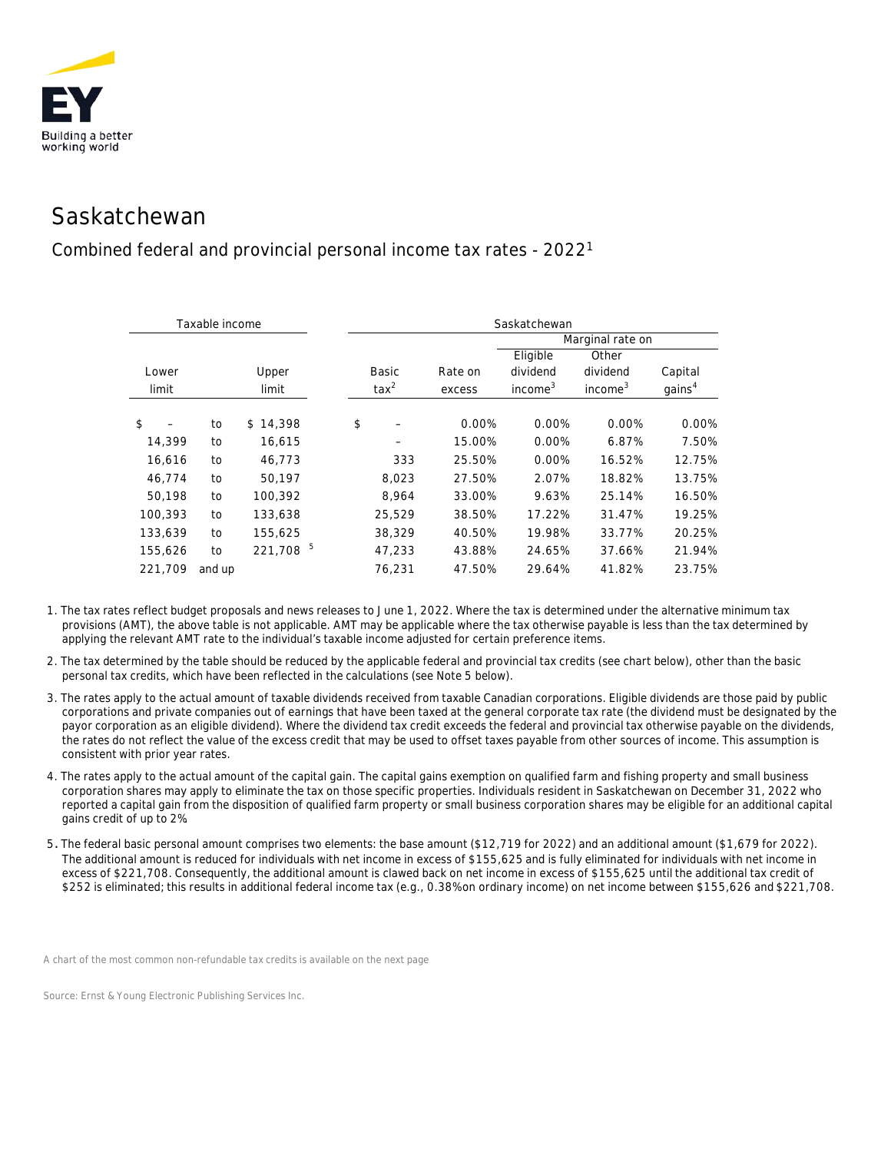

## Saskatchewan

## Combined federal and provincial personal income tax rates - 20221

| Taxable income |        |              | Saskatchewan   |         |                     |                     |                    |  |
|----------------|--------|--------------|----------------|---------|---------------------|---------------------|--------------------|--|
|                |        |              |                |         | Marginal rate on    |                     |                    |  |
|                |        |              |                |         | Eligible            | Other               |                    |  |
| Lower          |        | Upper        | Basic          | Rate on | dividend            | dividend            | Capital            |  |
| limit          |        | limit        | $\text{tax}^2$ | excess  | income <sup>3</sup> | income <sup>3</sup> | qains <sup>4</sup> |  |
|                |        |              |                |         |                     |                     |                    |  |
| \$             | to     | \$14,398     | \$             | 0.00%   | 0.00%               | 0.00%               | 0.00%              |  |
| 14,399         | to     | 16,615       |                | 15.00%  | 0.00%               | 6.87%               | 7.50%              |  |
| 16,616         | to     | 46,773       | 333            | 25.50%  | 0.00%               | 16.52%              | 12.75%             |  |
| 46.774         | to     | 50.197       | 8,023          | 27.50%  | 2.07%               | 18.82%              | 13.75%             |  |
| 50,198         | to     | 100,392      | 8,964          | 33.00%  | 9.63%               | 25.14%              | 16.50%             |  |
| 100,393        | to     | 133,638      | 25,529         | 38.50%  | 17.22%              | 31.47%              | 19.25%             |  |
| 133,639        | to     | 155,625      | 38,329         | 40.50%  | 19.98%              | 33.77%              | 20.25%             |  |
| 155,626        | to     | 5<br>221,708 | 47,233         | 43.88%  | 24.65%              | 37.66%              | 21.94%             |  |
| 221,709        | and up |              | 76,231         | 47.50%  | 29.64%              | 41.82%              | 23.75%             |  |

- 1. The tax rates reflect budget proposals and news releases to June 1, 2022. Where the tax is determined under the alternative minimum tax provisions (AMT), the above table is not applicable. AMT may be applicable where the tax otherwise payable is less than the tax determined by applying the relevant AMT rate to the individual's taxable income adjusted for certain preference items.
- 2. The tax determined by the table should be reduced by the applicable federal and provincial tax credits (see chart below), other than the basic personal tax credits, which have been reflected in the calculations (see Note 5 below).
- 3. The rates apply to the actual amount of taxable dividends received from taxable Canadian corporations. Eligible dividends are those paid by public corporations and private companies out of earnings that have been taxed at the general corporate tax rate (the dividend must be designated by the payor corporation as an eligible dividend). Where the dividend tax credit exceeds the federal and provincial tax otherwise payable on the dividends, the rates do not reflect the value of the excess credit that may be used to offset taxes payable from other sources of income. This assumption is consistent with prior year rates.
- 4. The rates apply to the actual amount of the capital gain. The capital gains exemption on qualified farm and fishing property and small business corporation shares may apply to eliminate the tax on those specific properties. Individuals resident in Saskatchewan on December 31, 2022 who reported a capital gain from the disposition of qualified farm property or small business corporation shares may be eligible for an additional capital gains credit of up to 2%.
- 5. The federal basic personal amount comprises two elements: the base amount (\$12,719 for 2022) and an additional amount (\$1,679 for 2022). The additional amount is reduced for individuals with net income in excess of \$155,625 and is fully eliminated for individuals with net income in excess of \$221,708. Consequently, the additional amount is clawed back on net income in excess of \$155,625 until the additional tax credit of \$252 is eliminated; this results in additional federal income tax (e.g., 0.38% on ordinary income) on net income between \$155,626 and \$221,708.

*A chart of the most common non-refundable tax credits is available on the next page*

*Source: Ernst & Young Electronic Publishing Services Inc.*